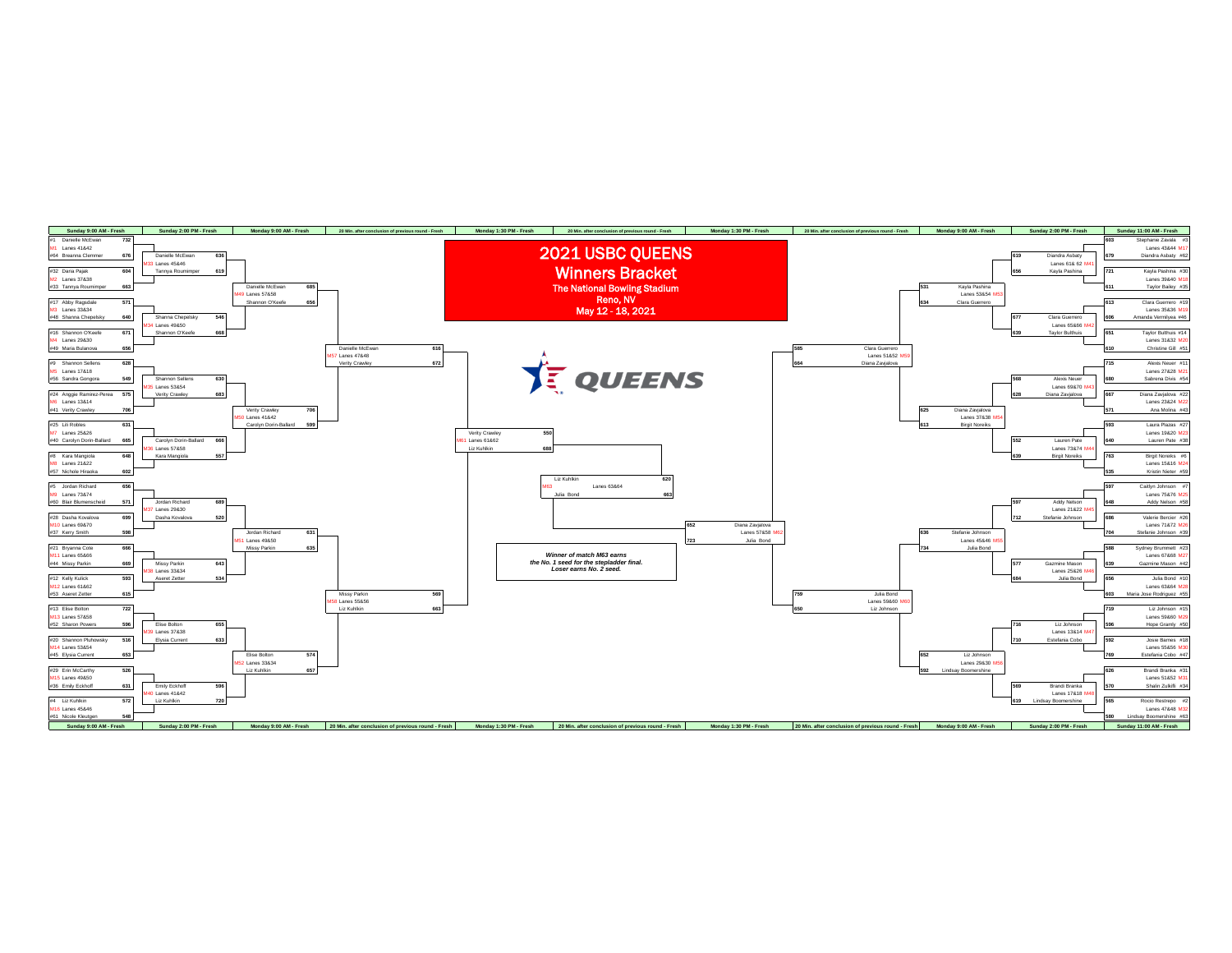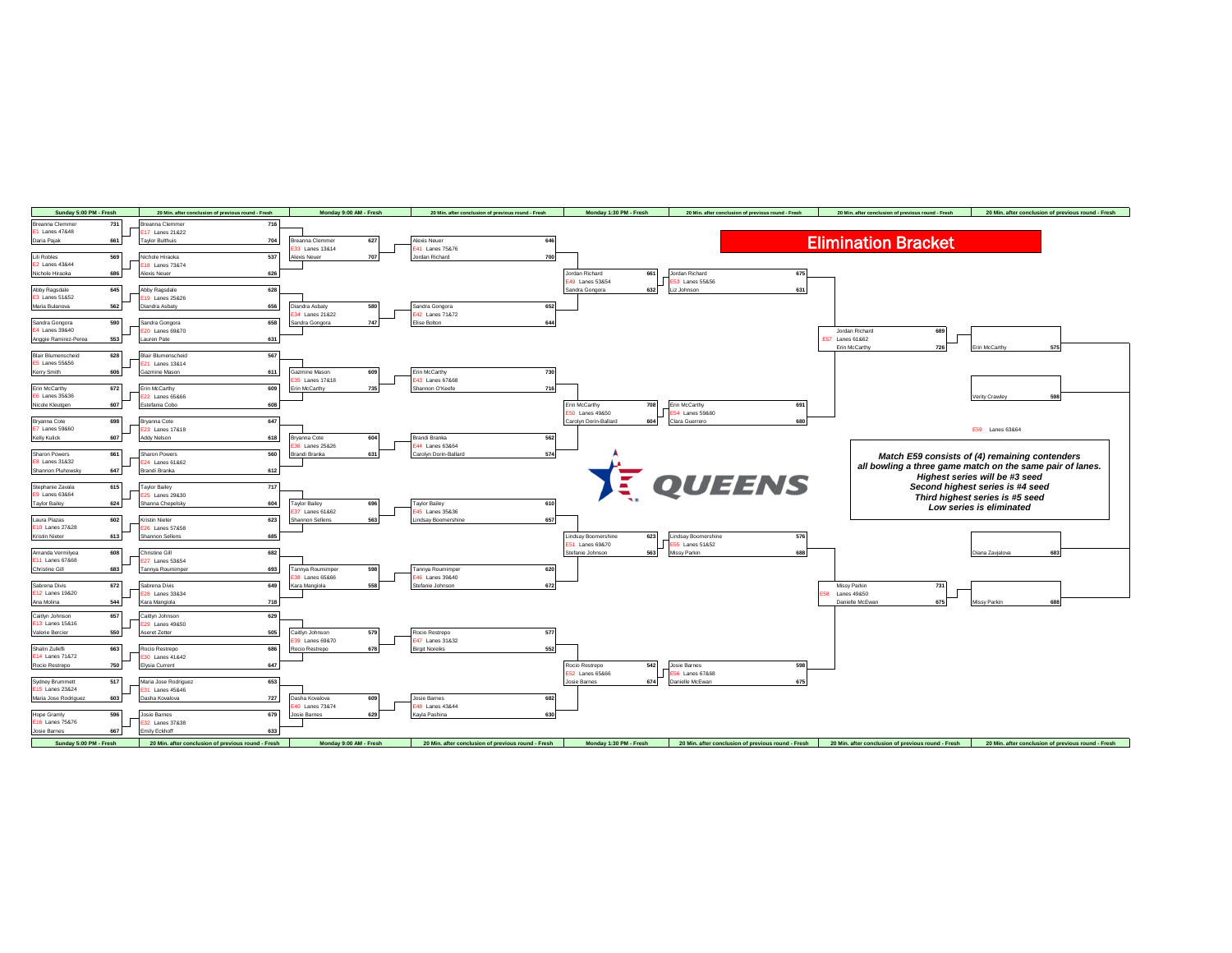